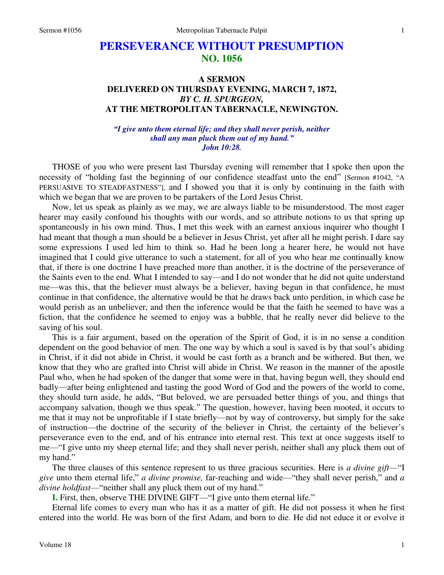# **PERSEVERANCE WITHOUT PRESUMPTION NO. 1056**

# **A SERMON DELIVERED ON THURSDAY EVENING, MARCH 7, 1872,**  *BY C. H. SPURGEON,*  **AT THE METROPOLITAN TABERNACLE, NEWINGTON.**

### *"I give unto them eternal life; and they shall never perish, neither shall any man pluck them out of my hand." John 10:28.*

THOSE of you who were present last Thursday evening will remember that I spoke then upon the necessity of "holding fast the beginning of our confidence steadfast unto the end" [Sermon #1042, "A PERSUASIVE TO STEADFASTNESS"], and I showed you that it is only by continuing in the faith with which we began that we are proven to be partakers of the Lord Jesus Christ.

Now, let us speak as plainly as we may, we are always liable to be misunderstood. The most eager hearer may easily confound his thoughts with our words, and so attribute notions to us that spring up spontaneously in his own mind. Thus, I met this week with an earnest anxious inquirer who thought I had meant that though a man should be a believer in Jesus Christ, yet after all he might perish. I dare say some expressions I used led him to think so. Had he been long a hearer here, he would not have imagined that I could give utterance to such a statement, for all of you who hear me continually know that, if there is one doctrine I have preached more than another, it is the doctrine of the perseverance of the Saints even to the end. What I intended to say—and I do not wonder that he did not quite understand me—was this, that the believer must always be a believer, having begun in that confidence, he must continue in that confidence, the alternative would be that he draws back unto perdition, in which case he would perish as an unbeliever, and then the inference would be that the faith he seemed to have was a fiction, that the confidence he seemed to enjoy was a bubble, that he really never did believe to the saving of his soul.

This is a fair argument, based on the operation of the Spirit of God, it is in no sense a condition dependent on the good behavior of men. The one way by which a soul is saved is by that soul's abiding in Christ, if it did not abide in Christ, it would be cast forth as a branch and be withered. But then, we know that they who are grafted into Christ will abide in Christ. We reason in the manner of the apostle Paul who, when he had spoken of the danger that some were in that, having begun well, they should end badly—after being enlightened and tasting the good Word of God and the powers of the world to come, they should turn aside, he adds, "But beloved, we are persuaded better things of you, and things that accompany salvation, though we thus speak." The question, however, having been mooted, it occurs to me that it may not be unprofitable if I state briefly—not by way of controversy, but simply for the sake of instruction—the doctrine of the security of the believer in Christ, the certainty of the believer's perseverance even to the end, and of his entrance into eternal rest. This text at once suggests itself to me—"I give unto my sheep eternal life; and they shall never perish, neither shall any pluck them out of my hand."

The three clauses of this sentence represent to us three gracious securities. Here is *a divine gift*—"I *give* unto them eternal life," *a divine promise,* far-reaching and wide—"they shall never perish," and *a divine holdfast*—"neither shall any pluck them out of my hand."

**I.** First, then, observe THE DIVINE GIFT—"I give unto them eternal life."

Eternal life comes to every man who has it as a matter of gift. He did not possess it when he first entered into the world. He was born of the first Adam, and born to die. He did not educe it or evolve it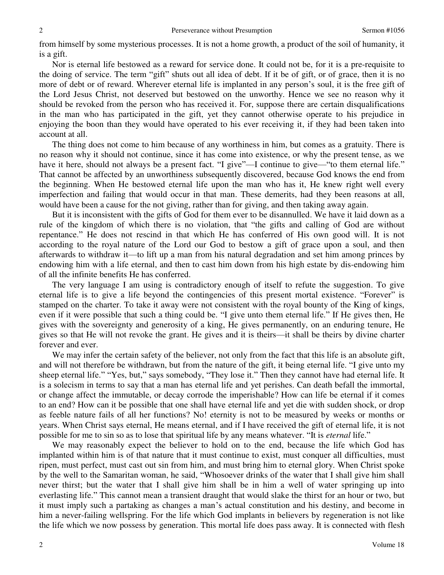from himself by some mysterious processes. It is not a home growth, a product of the soil of humanity, it is a gift.

Nor is eternal life bestowed as a reward for service done. It could not be, for it is a pre-requisite to the doing of service. The term "gift" shuts out all idea of debt. If it be of gift, or of grace, then it is no more of debt or of reward. Wherever eternal life is implanted in any person's soul, it is the free gift of the Lord Jesus Christ, not deserved but bestowed on the unworthy. Hence we see no reason why it should be revoked from the person who has received it. For, suppose there are certain disqualifications in the man who has participated in the gift, yet they cannot otherwise operate to his prejudice in enjoying the boon than they would have operated to his ever receiving it, if they had been taken into account at all.

The thing does not come to him because of any worthiness in him, but comes as a gratuity. There is no reason why it should not continue, since it has come into existence, or why the present tense, as we have it here, should not always be a present fact. "I give"—I continue to give—"to them eternal life." That cannot be affected by an unworthiness subsequently discovered, because God knows the end from the beginning. When He bestowed eternal life upon the man who has it, He knew right well every imperfection and failing that would occur in that man. These demerits, had they been reasons at all, would have been a cause for the not giving, rather than for giving, and then taking away again.

But it is inconsistent with the gifts of God for them ever to be disannulled. We have it laid down as a rule of the kingdom of which there is no violation, that "the gifts and calling of God are without repentance." He does not rescind in that which He has conferred of His own good will. It is not according to the royal nature of the Lord our God to bestow a gift of grace upon a soul, and then afterwards to withdraw it—to lift up a man from his natural degradation and set him among princes by endowing him with a life eternal, and then to cast him down from his high estate by dis-endowing him of all the infinite benefits He has conferred.

The very language I am using is contradictory enough of itself to refute the suggestion. To give eternal life is to give a life beyond the contingencies of this present mortal existence. "Forever" is stamped on the charter. To take it away were not consistent with the royal bounty of the King of kings, even if it were possible that such a thing could be. "I give unto them eternal life." If He gives then, He gives with the sovereignty and generosity of a king, He gives permanently, on an enduring tenure, He gives so that He will not revoke the grant. He gives and it is theirs—it shall be theirs by divine charter forever and ever.

We may infer the certain safety of the believer, not only from the fact that this life is an absolute gift, and will not therefore be withdrawn, but from the nature of the gift, it being eternal life. "I give unto my sheep eternal life." "Yes, but," says somebody, "They lose it." Then they cannot have had eternal life. It is a solecism in terms to say that a man has eternal life and yet perishes. Can death befall the immortal, or change affect the immutable, or decay corrode the imperishable? How can life be eternal if it comes to an end? How can it be possible that one shall have eternal life and yet die with sudden shock, or drop as feeble nature fails of all her functions? No! eternity is not to be measured by weeks or months or years. When Christ says eternal, He means eternal, and if I have received the gift of eternal life, it is not possible for me to sin so as to lose that spiritual life by any means whatever. "It is *eternal* life."

We may reasonably expect the believer to hold on to the end, because the life which God has implanted within him is of that nature that it must continue to exist, must conquer all difficulties, must ripen, must perfect, must cast out sin from him, and must bring him to eternal glory. When Christ spoke by the well to the Samaritan woman, he said, "Whosoever drinks of the water that I shall give him shall never thirst; but the water that I shall give him shall be in him a well of water springing up into everlasting life." This cannot mean a transient draught that would slake the thirst for an hour or two, but it must imply such a partaking as changes a man's actual constitution and his destiny, and become in him a never-failing wellspring. For the life which God implants in believers by regeneration is not like the life which we now possess by generation. This mortal life does pass away. It is connected with flesh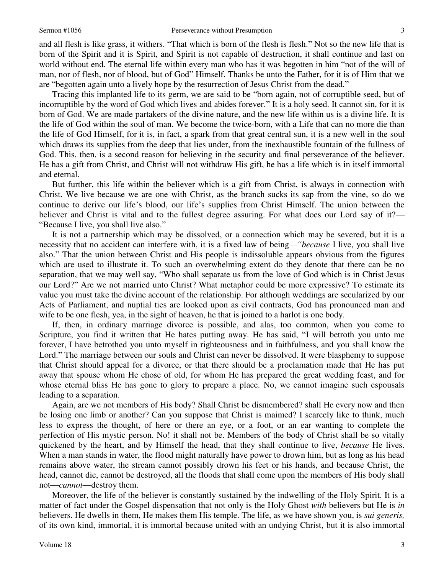and all flesh is like grass, it withers. "That which is born of the flesh is flesh." Not so the new life that is born of the Spirit and it is Spirit, and Spirit is not capable of destruction, it shall continue and last on world without end. The eternal life within every man who has it was begotten in him "not of the will of man, nor of flesh, nor of blood, but of God" Himself. Thanks be unto the Father, for it is of Him that we are "begotten again unto a lively hope by the resurrection of Jesus Christ from the dead."

Tracing this implanted life to its germ, we are said to be "born again, not of corruptible seed, but of incorruptible by the word of God which lives and abides forever." It is a holy seed. It cannot sin, for it is born of God. We are made partakers of the divine nature, and the new life within us is a divine life. It is the life of God within the soul of man. We become the twice-born, with a Life that can no more die than the life of God Himself, for it is, in fact, a spark from that great central sun, it is a new well in the soul which draws its supplies from the deep that lies under, from the inexhaustible fountain of the fullness of God. This, then, is a second reason for believing in the security and final perseverance of the believer. He has a gift from Christ, and Christ will not withdraw His gift, he has a life which is in itself immortal and eternal.

But further, this life within the believer which is a gift from Christ, is always in connection with Christ. We live because we are one with Christ, as the branch sucks its sap from the vine, so do we continue to derive our life's blood, our life's supplies from Christ Himself. The union between the believer and Christ is vital and to the fullest degree assuring. For what does our Lord say of it?— "Because I live, you shall live also."

It is not a partnership which may be dissolved, or a connection which may be severed, but it is a necessity that no accident can interfere with, it is a fixed law of being*—"because* I live, you shall live also." That the union between Christ and His people is indissoluble appears obvious from the figures which are used to illustrate it. To such an overwhelming extent do they denote that there can be no separation, that we may well say, "Who shall separate us from the love of God which is in Christ Jesus our Lord?" Are we not married unto Christ? What metaphor could be more expressive? To estimate its value you must take the divine account of the relationship. For although weddings are secularized by our Acts of Parliament, and nuptial ties are looked upon as civil contracts, God has pronounced man and wife to be one flesh, yea, in the sight of heaven, he that is joined to a harlot is one body.

If, then, in ordinary marriage divorce is possible, and alas, too common, when you come to Scripture, you find it written that He hates putting away. He has said, "I will betroth you unto me forever, I have betrothed you unto myself in righteousness and in faithfulness, and you shall know the Lord." The marriage between our souls and Christ can never be dissolved. It were blasphemy to suppose that Christ should appeal for a divorce, or that there should be a proclamation made that He has put away that spouse whom He chose of old, for whom He has prepared the great wedding feast, and for whose eternal bliss He has gone to glory to prepare a place. No, we cannot imagine such espousals leading to a separation.

Again, are we not members of His body? Shall Christ be dismembered? shall He every now and then be losing one limb or another? Can you suppose that Christ is maimed? I scarcely like to think, much less to express the thought, of here or there an eye, or a foot, or an ear wanting to complete the perfection of His mystic person. No! it shall not be. Members of the body of Christ shall be so vitally quickened by the heart, and by Himself the head, that they shall continue to live, *because* He lives. When a man stands in water, the flood might naturally have power to drown him, but as long as his head remains above water, the stream cannot possibly drown his feet or his hands, and because Christ, the head, cannot die, cannot be destroyed, all the floods that shall come upon the members of His body shall not—*cannot*—destroy them.

Moreover, the life of the believer is constantly sustained by the indwelling of the Holy Spirit. It is a matter of fact under the Gospel dispensation that not only is the Holy Ghost *with* believers but He is *in* believers. He dwells in them, He makes them His temple. The life, as we have shown you, is *sui generis,* of its own kind, immortal, it is immortal because united with an undying Christ, but it is also immortal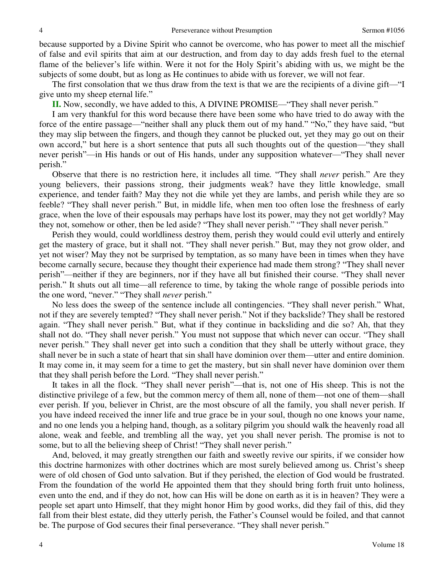because supported by a Divine Spirit who cannot be overcome, who has power to meet all the mischief of false and evil spirits that aim at our destruction, and from day to day adds fresh fuel to the eternal flame of the believer's life within. Were it not for the Holy Spirit's abiding with us, we might be the subjects of some doubt, but as long as He continues to abide with us forever, we will not fear.

The first consolation that we thus draw from the text is that we are the recipients of a divine gift—"I give unto my sheep eternal life."

**II.** Now, secondly, we have added to this, A DIVINE PROMISE—"They shall never perish."

I am very thankful for this word because there have been some who have tried to do away with the force of the entire passage—"neither shall any pluck them out of my hand." "No," they have said, "but they may slip between the fingers, and though they cannot be plucked out, yet they may go out on their own accord," but here is a short sentence that puts all such thoughts out of the question—"they shall never perish"—in His hands or out of His hands, under any supposition whatever—"They shall never perish."

Observe that there is no restriction here, it includes all time*.* "They shall *never* perish." Are they young believers, their passions strong, their judgments weak? have they little knowledge, small experience, and tender faith? May they not die while yet they are lambs, and perish while they are so feeble? "They shall never perish." But, in middle life, when men too often lose the freshness of early grace, when the love of their espousals may perhaps have lost its power, may they not get worldly? May they not, somehow or other, then be led aside? "They shall never perish." "They shall never perish."

Perish they would, could worldliness destroy them, perish they would could evil utterly and entirely get the mastery of grace, but it shall not. "They shall never perish." But, may they not grow older, and yet not wiser? May they not be surprised by temptation, as so many have been in times when they have become carnally secure, because they thought their experience had made them strong? "They shall never perish"—neither if they are beginners, nor if they have all but finished their course. "They shall never perish." It shuts out all time—all reference to time, by taking the whole range of possible periods into the one word, "never." "They shall *never* perish."

No less does the sweep of the sentence include all contingencies. "They shall never perish." What, not if they are severely tempted? "They shall never perish." Not if they backslide? They shall be restored again. "They shall never perish." But, what if they continue in backsliding and die so? Ah, that they shall not do. "They shall never perish." You must not suppose that which never can occur. "They shall never perish." They shall never get into such a condition that they shall be utterly without grace, they shall never be in such a state of heart that sin shall have dominion over them—utter and entire dominion. It may come in, it may seem for a time to get the mastery, but sin shall never have dominion over them that they shall perish before the Lord. "They shall never perish."

It takes in all the flock. "They shall never perish"—that is, not one of His sheep. This is not the distinctive privilege of a few, but the common mercy of them all, none of them—not one of them—shall ever perish. If you, believer in Christ, are the most obscure of all the family, you shall never perish. If you have indeed received the inner life and true grace be in your soul, though no one knows your name, and no one lends you a helping hand, though, as a solitary pilgrim you should walk the heavenly road all alone, weak and feeble, and trembling all the way, yet you shall never perish. The promise is not to some, but to all the believing sheep of Christ! "They shall never perish."

And, beloved, it may greatly strengthen our faith and sweetly revive our spirits, if we consider how this doctrine harmonizes with other doctrines which are most surely believed among us. Christ's sheep were of old chosen of God unto salvation. But if they perished, the election of God would be frustrated. From the foundation of the world He appointed them that they should bring forth fruit unto holiness, even unto the end, and if they do not, how can His will be done on earth as it is in heaven? They were a people set apart unto Himself, that they might honor Him by good works, did they fail of this, did they fall from their blest estate, did they utterly perish, the Father's Counsel would be foiled, and that cannot be. The purpose of God secures their final perseverance. "They shall never perish."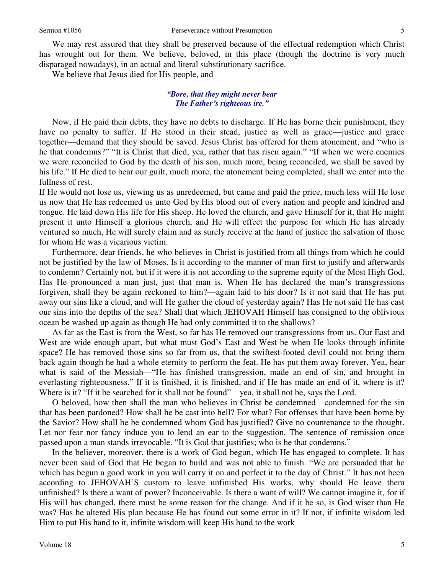We may rest assured that they shall be preserved because of the effectual redemption which Christ has wrought out for them. We believe, beloved, in this place (though the doctrine is very much disparaged nowadays), in an actual and literal substitutionary sacrifice.

We believe that Jesus died for His people, and—

#### *"Bore, that they might never bear The Father's righteous ire."*

 Now, if He paid their debts, they have no debts to discharge. If He has borne their punishment, they have no penalty to suffer. If He stood in their stead, justice as well as grace—justice and grace together—demand that they should be saved. Jesus Christ has offered for them atonement, and "who is he that condemns?" "It is Christ that died, yea, rather that has risen again." "If when we were enemies we were reconciled to God by the death of his son, much more, being reconciled, we shall be saved by his life." If He died to bear our guilt, much more, the atonement being completed, shall we enter into the fullness of rest.

If He would not lose us, viewing us as unredeemed, but came and paid the price, much less will He lose us now that He has redeemed us unto God by His blood out of every nation and people and kindred and tongue. He laid down His life for His sheep. He loved the church, and gave Himself for it, that He might present it unto Himself a glorious church, and He will effect the purpose for which He has already ventured so much, He will surely claim and as surely receive at the hand of justice the salvation of those for whom He was a vicarious victim.

Furthermore, dear friends, he who believes in Christ is justified from all things from which he could not be justified by the law of Moses. Is it according to the manner of man first to justify and afterwards to condemn? Certainly not, but if it were it is not according to the supreme equity of the Most High God. Has He pronounced a man just, just that man is. When He has declared the man's transgressions forgiven, shall they be again reckoned to him?—again laid to his door? Is it not said that He has put away our sins like a cloud, and will He gather the cloud of yesterday again? Has He not said He has cast our sins into the depths of the sea? Shall that which JEHOVAH Himself has consigned to the oblivious ocean be washed up again as though He had only committed it to the shallows?

As far as the East is from the West, so far has He removed our transgressions from us. Our East and West are wide enough apart, but what must God's East and West be when He looks through infinite space? He has removed those sins so far from us, that the swiftest-footed devil could not bring them back again though he had a whole eternity to perform the feat. He has put them away forever. Yea, hear what is said of the Messiah—"He has finished transgression, made an end of sin, and brought in everlasting righteousness." If it is finished, it is finished, and if He has made an end of it, where is it? Where is it? "If it be searched for it shall not be found"—yea, it shall not be, says the Lord.

O beloved, how then shall the man who believes in Christ be condemned—condemned for the sin that has been pardoned? How shall he be cast into hell? For what? For offenses that have been borne by the Savior? How shall he be condemned whom God has justified? Give no countenance to the thought. Let nor fear nor fancy induce you to lend an ear to the suggestion. The sentence of remission once passed upon a man stands irrevocable. "It is God that justifies; who is he that condemns."

In the believer, moreover, there is a work of God begun, which He has engaged to complete. It has never been said of God that He began to build and was not able to finish. "We are persuaded that he which has begun a good work in you will carry it on and perfect it to the day of Christ." It has not been according to JEHOVAH'S custom to leave unfinished His works, why should He leave them unfinished? Is there a want of power? Inconceivable. Is there a want of will? We cannot imagine it, for if His will has changed, there must be some reason for the change. And if it be so, is God wiser than He was? Has he altered His plan because He has found out some error in it? If not, if infinite wisdom led Him to put His hand to it, infinite wisdom will keep His hand to the work—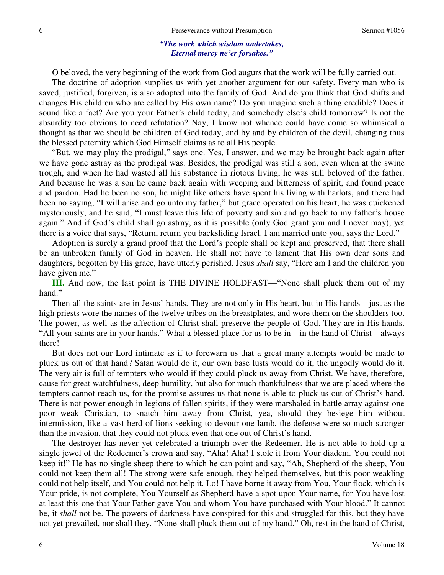#### *"The work which wisdom undertakes, Eternal mercy ne'er forsakes."*

O beloved, the very beginning of the work from God augurs that the work will be fully carried out.

The doctrine of adoption supplies us with yet another argument for our safety. Every man who is saved, justified, forgiven, is also adopted into the family of God. And do you think that God shifts and changes His children who are called by His own name? Do you imagine such a thing credible? Does it sound like a fact? Are you your Father's child today, and somebody else's child tomorrow? Is not the absurdity too obvious to need refutation? Nay, I know not whence could have come so whimsical a thought as that we should be children of God today, and by and by children of the devil, changing thus the blessed paternity which God Himself claims as to all His people.

"But, we may play the prodigal," says one. Yes, I answer, and we may be brought back again after we have gone astray as the prodigal was. Besides, the prodigal was still a son, even when at the swine trough, and when he had wasted all his substance in riotous living, he was still beloved of the father. And because he was a son he came back again with weeping and bitterness of spirit, and found peace and pardon. Had he been no son, he might like others have spent his living with harlots, and there had been no saying, "I will arise and go unto my father," but grace operated on his heart, he was quickened mysteriously, and he said, "I must leave this life of poverty and sin and go back to my father's house again." And if God's child shall go astray, as it is possible (only God grant you and I never may), yet there is a voice that says, "Return, return you backsliding Israel. I am married unto you, says the Lord."

Adoption is surely a grand proof that the Lord's people shall be kept and preserved, that there shall be an unbroken family of God in heaven. He shall not have to lament that His own dear sons and daughters, begotten by His grace, have utterly perished. Jesus *shall* say, "Here am I and the children you have given me."

**III.** And now, the last point is THE DIVINE HOLDFAST—"None shall pluck them out of my hand."

Then all the saints are in Jesus' hands. They are not only in His heart, but in His hands—just as the high priests wore the names of the twelve tribes on the breastplates, and wore them on the shoulders too. The power, as well as the affection of Christ shall preserve the people of God. They are in His hands. "All your saints are in your hands." What a blessed place for us to be in—in the hand of Christ—always there!

But does not our Lord intimate as if to forewarn us that a great many attempts would be made to pluck us out of that hand? Satan would do it, our own base lusts would do it, the ungodly would do it. The very air is full of tempters who would if they could pluck us away from Christ. We have, therefore, cause for great watchfulness, deep humility, but also for much thankfulness that we are placed where the tempters cannot reach us, for the promise assures us that none is able to pluck us out of Christ's hand. There is not power enough in legions of fallen spirits, if they were marshaled in battle array against one poor weak Christian, to snatch him away from Christ, yea, should they besiege him without intermission, like a vast herd of lions seeking to devour one lamb, the defense were so much stronger than the invasion, that they could not pluck even that one out of Christ's hand.

The destroyer has never yet celebrated a triumph over the Redeemer. He is not able to hold up a single jewel of the Redeemer's crown and say, "Aha! Aha! I stole it from Your diadem. You could not keep it!" He has no single sheep there to which he can point and say, "Ah, Shepherd of the sheep, You could not keep them all! The strong were safe enough, they helped themselves, but this poor weakling could not help itself, and You could not help it. Lo! I have borne it away from You, Your flock, which is Your pride, is not complete, You Yourself as Shepherd have a spot upon Your name, for You have lost at least this one that Your Father gave You and whom You have purchased with Your blood." It cannot be, it *shall* not be. The powers of darkness have conspired for this and struggled for this, but they have not yet prevailed, nor shall they. "None shall pluck them out of my hand." Oh, rest in the hand of Christ,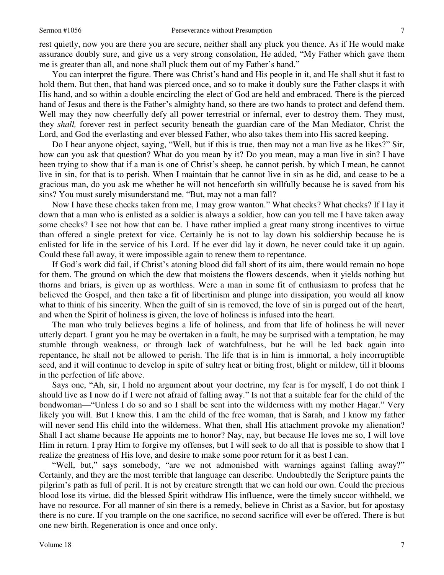rest quietly, now you are there you are secure, neither shall any pluck you thence. As if He would make assurance doubly sure, and give us a very strong consolation, He added, "My Father which gave them me is greater than all, and none shall pluck them out of my Father's hand."

You can interpret the figure. There was Christ's hand and His people in it, and He shall shut it fast to hold them. But then, that hand was pierced once, and so to make it doubly sure the Father clasps it with His hand, and so within a double encircling the elect of God are held and embraced. There is the pierced hand of Jesus and there is the Father's almighty hand, so there are two hands to protect and defend them. Well may they now cheerfully defy all power terrestrial or infernal, ever to destroy them. They must, they *shall,* forever rest in perfect security beneath the guardian care of the Man Mediator, Christ the Lord, and God the everlasting and ever blessed Father, who also takes them into His sacred keeping.

Do I hear anyone object, saying, "Well, but if this is true, then may not a man live as he likes?" Sir, how can you ask that question? What do you mean by it? Do you mean, may a man live in sin? I have been trying to show that if a man is one of Christ's sheep, he cannot perish, by which I mean, he cannot live in sin, for that is to perish. When I maintain that he cannot live in sin as he did, and cease to be a gracious man, do you ask me whether he will not henceforth sin willfully because he is saved from his sins? You must surely misunderstand me. "But, may not a man fall?

Now I have these checks taken from me, I may grow wanton." What checks? What checks? If I lay it down that a man who is enlisted as a soldier is always a soldier, how can you tell me I have taken away some checks? I see not how that can be. I have rather implied a great many strong incentives to virtue than offered a single pretext for vice. Certainly he is not to lay down his soldiership because he is enlisted for life in the service of his Lord. If he ever did lay it down, he never could take it up again. Could these fall away, it were impossible again to renew them to repentance.

If God's work did fail, if Christ's atoning blood did fall short of its aim, there would remain no hope for them. The ground on which the dew that moistens the flowers descends, when it yields nothing but thorns and briars, is given up as worthless. Were a man in some fit of enthusiasm to profess that he believed the Gospel, and then take a fit of libertinism and plunge into dissipation, you would all know what to think of his sincerity. When the guilt of sin is removed, the love of sin is purged out of the heart, and when the Spirit of holiness is given, the love of holiness is infused into the heart.

The man who truly believes begins a life of holiness, and from that life of holiness he will never utterly depart. I grant you he may be overtaken in a fault, he may be surprised with a temptation, he may stumble through weakness, or through lack of watchfulness, but he will be led back again into repentance, he shall not be allowed to perish. The life that is in him is immortal, a holy incorruptible seed, and it will continue to develop in spite of sultry heat or biting frost, blight or mildew, till it blooms in the perfection of life above.

Says one, "Ah, sir, I hold no argument about your doctrine, my fear is for myself, I do not think I should live as I now do if I were not afraid of falling away." Is not that a suitable fear for the child of the bondwoman—"Unless I do so and so I shall be sent into the wilderness with my mother Hagar." Very likely you will. But I know this. I am the child of the free woman, that is Sarah, and I know my father will never send His child into the wilderness. What then, shall His attachment provoke my alienation? Shall I act shame because He appoints me to honor? Nay, nay, but because He loves me so, I will love Him in return. I pray Him to forgive my offenses, but I will seek to do all that is possible to show that I realize the greatness of His love, and desire to make some poor return for it as best I can.

"Well, but," says somebody, "are we not admonished with warnings against falling away?" Certainly, and they are the most terrible that language can describe. Undoubtedly the Scripture paints the pilgrim's path as full of peril. It is not by creature strength that we can hold our own. Could the precious blood lose its virtue, did the blessed Spirit withdraw His influence, were the timely succor withheld, we have no resource. For all manner of sin there is a remedy, believe in Christ as a Savior, but for apostasy there is no cure. If you trample on the one sacrifice, no second sacrifice will ever be offered. There is but one new birth. Regeneration is once and once only.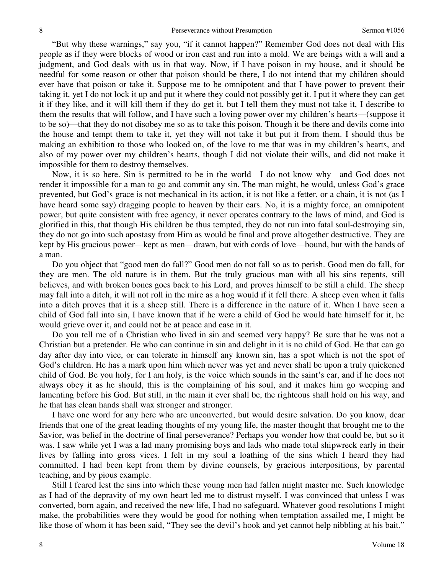"But why these warnings," say you, "if it cannot happen?" Remember God does not deal with His people as if they were blocks of wood or iron cast and run into a mold. We are beings with a will and a judgment, and God deals with us in that way. Now, if I have poison in my house, and it should be needful for some reason or other that poison should be there, I do not intend that my children should ever have that poison or take it. Suppose me to be omnipotent and that I have power to prevent their taking it, yet I do not lock it up and put it where they could not possibly get it. I put it where they can get it if they like, and it will kill them if they do get it, but I tell them they must not take it, I describe to them the results that will follow, and I have such a loving power over my children's hearts—(suppose it to be so)—that they do not disobey me so as to take this poison. Though it be there and devils come into the house and tempt them to take it, yet they will not take it but put it from them. I should thus be making an exhibition to those who looked on, of the love to me that was in my children's hearts, and also of my power over my children's hearts, though I did not violate their wills, and did not make it impossible for them to destroy themselves.

Now, it is so here. Sin is permitted to be in the world—I do not know why—and God does not render it impossible for a man to go and commit any sin. The man might, he would, unless God's grace prevented, but God's grace is not mechanical in its action, it is not like a fetter, or a chain, it is not (as I have heard some say) dragging people to heaven by their ears. No, it is a mighty force, an omnipotent power, but quite consistent with free agency, it never operates contrary to the laws of mind, and God is glorified in this, that though His children be thus tempted, they do not run into fatal soul-destroying sin, they do not go into such apostasy from Him as would be final and prove altogether destructive. They are kept by His gracious power—kept as men—drawn, but with cords of love—bound, but with the bands of a man.

Do you object that "good men do fall?" Good men do not fall so as to perish. Good men do fall, for they are men. The old nature is in them. But the truly gracious man with all his sins repents, still believes, and with broken bones goes back to his Lord, and proves himself to be still a child. The sheep may fall into a ditch, it will not roll in the mire as a hog would if it fell there. A sheep even when it falls into a ditch proves that it is a sheep still. There is a difference in the nature of it. When I have seen a child of God fall into sin, I have known that if he were a child of God he would hate himself for it, he would grieve over it, and could not be at peace and ease in it.

Do you tell me of a Christian who lived in sin and seemed very happy? Be sure that he was not a Christian but a pretender. He who can continue in sin and delight in it is no child of God. He that can go day after day into vice, or can tolerate in himself any known sin, has a spot which is not the spot of God's children. He has a mark upon him which never was yet and never shall be upon a truly quickened child of God. Be you holy, for I am holy, is the voice which sounds in the saint's ear, and if he does not always obey it as he should, this is the complaining of his soul, and it makes him go weeping and lamenting before his God. But still, in the main it ever shall be, the righteous shall hold on his way, and he that has clean hands shall wax stronger and stronger.

I have one word for any here who are unconverted, but would desire salvation. Do you know, dear friends that one of the great leading thoughts of my young life, the master thought that brought me to the Savior, was belief in the doctrine of final perseverance? Perhaps you wonder how that could be, but so it was. I saw while yet I was a lad many promising boys and lads who made total shipwreck early in their lives by falling into gross vices. I felt in my soul a loathing of the sins which I heard they had committed. I had been kept from them by divine counsels, by gracious interpositions, by parental teaching, and by pious example.

Still I feared lest the sins into which these young men had fallen might master me. Such knowledge as I had of the depravity of my own heart led me to distrust myself. I was convinced that unless I was converted, born again, and received the new life, I had no safeguard. Whatever good resolutions I might make, the probabilities were they would be good for nothing when temptation assailed me, I might be like those of whom it has been said, "They see the devil's hook and yet cannot help nibbling at his bait."